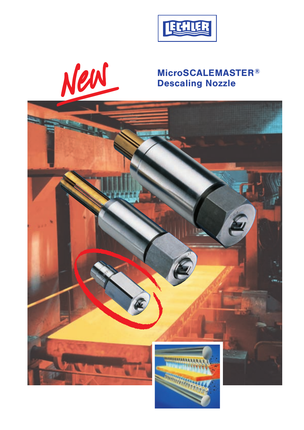

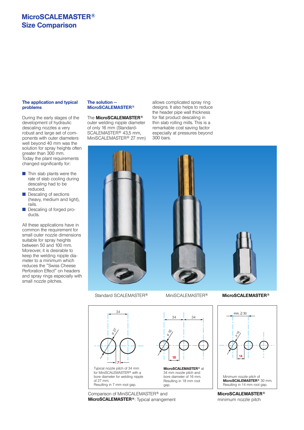# **MicroSCALEMASTER® Size Comparison**

#### **The application and typical problems**

During the early stages of the development of hydraulic descaling nozzles a very robust and large set of components with outer diameters well beyond 40 mm was the solution for spray heights often greater than 300 mm. Today the plant requirements changed significantly for:

- $\blacksquare$  Thin slab plants were the rate of slab cooling during descaling had to be reduced.
- **n** Descaling of sections (heavy, medium and light), rails.
- **n** Descaling of forged products.

All these applications have in common the requirement for small outer nozzle dimensions suitable for spray heights between 50 and 100 mm. Moreover, it is desirable to keep the welding nipple dia meter to a minimum which reduces the "Swiss Cheese Perforation Effect" on headers and spray rings especially with small nozzle pitches.

#### **The solution — MicroSCALEMASTER®**

The **MicroSCALEMASTER®** outer welding nipple diameter of only 16 mm (Standard-SCALEMASTER® 43,5 mm, MiniSCALEMASTER® 27 mm) allows complicated spray ring designs. It also helps to reduce the header pipe wall thickness for flat product descaling in thin slab rolling mills. This is a remarkable cost saving factor especially at pressures beyond 300 bars.





Comparison of MiniSCALEMASTER® and **MicroSCALEMASTER®**: Typical arrangement

#### Standard SCALEMASTER® MiniSCALEMASTER® **MicroSCALEMASTER®**



**MicroSCALEMASTER®** minimum nozzle pitch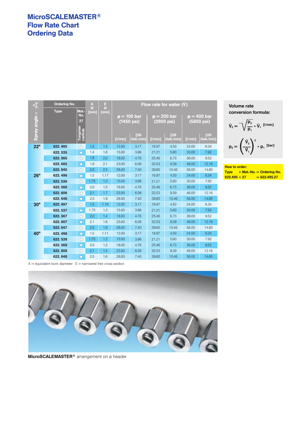# **MicroSCALEMASTER® Flow Rate Chart Ordering Data**

| $\overline{\mathbf{\mathbf{\mathbf{\mathbf{\mathbf{\mathbf{\mathbf{\mathbf{\mathbf{X}}}}}}}}}$ | <b>Ordering No.</b> |                                           | A<br>Ø | н<br>Ø | Flow rate for water (V) |                                                |         |                                                         |         |                                                        |
|------------------------------------------------------------------------------------------------|---------------------|-------------------------------------------|--------|--------|-------------------------|------------------------------------------------|---------|---------------------------------------------------------|---------|--------------------------------------------------------|
| Spray angle $\alpha$                                                                           | <b>Type</b>         | Mat.-<br>No.<br>27<br>Tungsten<br>carbide | [mm]   | [mm]   | (1450 psi)<br>[1/min]   | <b>p</b> = 100 bar<br><b>[US</b><br>Gall./min] | [1/min] | $p = 200$ bar<br>(2900 psi)<br><b>TUS</b><br>Gall./min1 | [1/min] | $p = 400$ bar<br>(5800 psi)<br><b>TUS</b><br>Gall./min |
| $22^{\circ}$                                                                                   | 622.495             | $\circ$                                   | 1.2    | 1.5    | 12.00                   | 3.17                                           | 16.97   | 4.50                                                    | 24.00   | 6.34                                                   |
|                                                                                                | 622.535             | $\circ$                                   | 1.4    | 1.8    | 15.00                   | 3.96                                           | 21.21   | 5.60                                                    | 30.00   | 7.92                                                   |
|                                                                                                | 622.565             | $\bigcirc$                                | 1.8    | 2.0    | 18.00                   | 4.76                                           | 25.46   | 6.73                                                    | 36.00   | 9.52                                                   |
|                                                                                                | 622.605             | Ω                                         | 1.8    | 2.1    | 23.00                   | 6.08                                           | 32.53   | 9.39                                                    | 46.00   | 12.16                                                  |
|                                                                                                | 622.645             | $\circ$                                   | 2.0    | 2.5    | 28.00                   | 7.40                                           | 39.60   | 10.46                                                   | 56.00   | 14.80                                                  |
| $26^\circ$                                                                                     | 622.496             | $\circ$                                   | 1.5    | 1.17   | 12.00                   | 3.17                                           | 16.97   | 4.50                                                    | 24.00   | 6.34                                                   |
|                                                                                                | 622.536             | О                                         | 1.75   | 1.3    | 15.00                   | 3.96                                           | 21.21   | 5.60                                                    | 30.00   | 7.92                                                   |
|                                                                                                | 622.566             | $\bigcirc$                                | 2.0    | 1.5    | 18.00                   | 4.76                                           | 25.46   | 6.73                                                    | 36.00   | 9.52                                                   |
|                                                                                                | 622.606             | $\bigcirc$                                | 2.1    | 1.7    | 23.00                   | 6.08                                           | 32.53   | 9.39                                                    | 46.00   | 12.16                                                  |
|                                                                                                | 622.646             | О                                         | 2.5    | 1.9    | 28.00                   | 7.40                                           | 39.60   | 10.46                                                   | 56.00   | 14.80                                                  |
| $30^\circ$                                                                                     | 622.497             | $\circ$                                   | 1.5    | 1.16   | 12.00                   | 3.17                                           | 16.97   | 4.50                                                    | 24.00   | 6.34                                                   |
|                                                                                                | 622.537             | $\bigcirc$                                | 1.75   | 1.3    | 15.00                   | 3.96                                           | 21.21   | 5.60                                                    | 30.00   | 7.92                                                   |
|                                                                                                | 622.567             | О                                         | 2.0    | 1.4    | 18.00                   | 4.76                                           | 25.46   | 6.73                                                    | 36.00   | 9.52                                                   |
|                                                                                                | 622.607             | $\bigcirc$                                | 2.1    | 1.6    | 23.00                   | 6.08                                           | 32.53   | 9.39                                                    | 46.00   | 12.16                                                  |
|                                                                                                | 622.647             | $\circ$                                   | 2.5    | 1.8    | 28.00                   | 7.40                                           | 39.60   | 10.46                                                   | 56.00   | 14.80                                                  |
| $40^{\circ}$                                                                                   | 622.498             | $\circ$                                   | 1.5    | 1.11   | 12.00                   | 3.17                                           | 16.97   | 4.50                                                    | 24.00   | 6.34                                                   |
|                                                                                                | 622.538             | $\bigcirc$                                | 1.75   | 1.2    | 15.00                   | 3.96                                           | 21.21   | 5.60                                                    | 30.00   | 7.92                                                   |
|                                                                                                | 622.568             | $\circ$                                   | 2.0    | 1.2    | 18.00                   | 4.76                                           | 25.46   | 6.73                                                    | 36.00   | 9.52                                                   |
|                                                                                                | 622.608             | О                                         | 2.1    | 1.5    | 23.00                   | 6.08                                           | 32.53   | 9.39                                                    | 46.00   | 12.16                                                  |
|                                                                                                | 622.648             | $\circ$                                   | 2.5    | 1.6    | 28.00                   | 7.40                                           | 39.60   | 10.46                                                   | 56.00   | 14.80                                                  |

**Volume rate conversion formula:** 

$$
\dot{V}_2 = \sqrt{\frac{p_2}{p_1}} * \dot{V}_1 \stackrel{[l/min]}{=} \\
p_2 = \left(\frac{\dot{V}_2}{\dot{V}_1}\right)^2 * p_1 \stackrel{[bar]}{=} \\
$$

**How to order: Type + Mat.-No. = Ordering No.**  $\overline{622.495 + 27}$  = 622.495.27

 $A =$  equivalent bore diameter  $\cdot E =$  narrowest free cross section



**MicroSCALEMASTER®** arrangement on a header